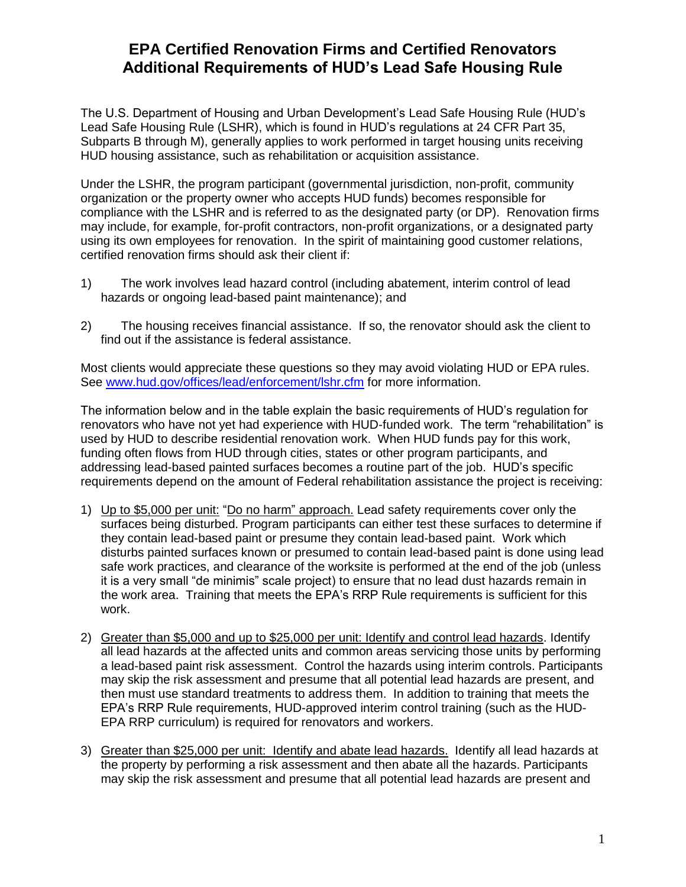The U.S. Department of Housing and Urban Development's Lead Safe Housing Rule (HUD's Lead Safe Housing Rule (LSHR), which is found in HUD's regulations at 24 CFR Part 35, Subparts B through M), generally applies to work performed in target housing units receiving HUD housing assistance, such as rehabilitation or acquisition assistance.

Under the LSHR, the program participant (governmental jurisdiction, non-profit, community organization or the property owner who accepts HUD funds) becomes responsible for compliance with the LSHR and is referred to as the designated party (or DP). Renovation firms may include, for example, for-profit contractors, non-profit organizations, or a designated party using its own employees for renovation. In the spirit of maintaining good customer relations, certified renovation firms should ask their client if:

- 1) The work involves lead hazard control (including abatement, interim control of lead hazards or ongoing lead-based paint maintenance); and
- 2) The housing receives financial assistance. If so, the renovator should ask the client to find out if the assistance is federal assistance.

Most clients would appreciate these questions so they may avoid violating HUD or EPA rules. See [www.hud.gov/offices/lead/enforcement/lshr.cfm](http://www.hud.gov/offices/lead/enforcement/lshr.cfm) for more information.

The information below and in the table explain the basic requirements of HUD's regulation for renovators who have not yet had experience with HUD-funded work. The term "rehabilitation" is used by HUD to describe residential renovation work. When HUD funds pay for this work, funding often flows from HUD through cities, states or other program participants, and addressing lead-based painted surfaces becomes a routine part of the job. HUD's specific requirements depend on the amount of Federal rehabilitation assistance the project is receiving:

- 1) Up to \$5,000 per unit: "Do no harm" approach. Lead safety requirements cover only the surfaces being disturbed. Program participants can either test these surfaces to determine if they contain lead-based paint or presume they contain lead-based paint. Work which disturbs painted surfaces known or presumed to contain lead-based paint is done using lead safe work practices, and clearance of the worksite is performed at the end of the job (unless it is a very small "de minimis" scale project) to ensure that no lead dust hazards remain in the work area. Training that meets the EPA's RRP Rule requirements is sufficient for this work.
- 2) Greater than \$5,000 and up to \$25,000 per unit: Identify and control lead hazards. Identify all lead hazards at the affected units and common areas servicing those units by performing a lead-based paint risk assessment. Control the hazards using interim controls. Participants may skip the risk assessment and presume that all potential lead hazards are present, and then must use standard treatments to address them. In addition to training that meets the EPA's RRP Rule requirements, HUD-approved interim control training (such as the HUD-EPA RRP curriculum) is required for renovators and workers.
- 3) Greater than \$25,000 per unit: Identify and abate lead hazards. Identify all lead hazards at the property by performing a risk assessment and then abate all the hazards. Participants may skip the risk assessment and presume that all potential lead hazards are present and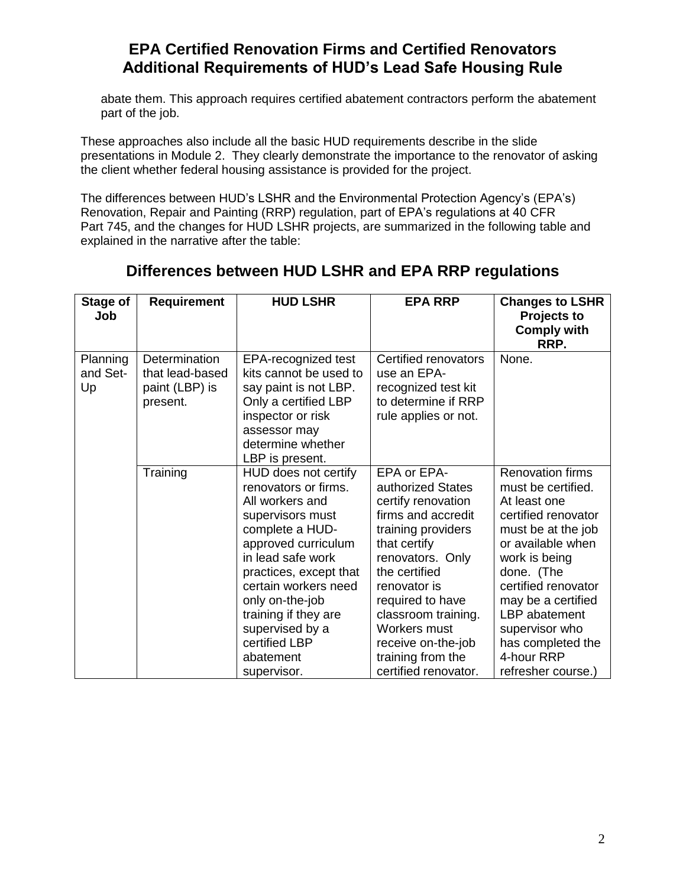abate them. This approach requires certified abatement contractors perform the abatement part of the job.

These approaches also include all the basic HUD requirements describe in the slide presentations in Module 2. They clearly demonstrate the importance to the renovator of asking the client whether federal housing assistance is provided for the project.

The differences between HUD's LSHR and the Environmental Protection Agency's (EPA's) Renovation, Repair and Painting (RRP) regulation, part of EPA's regulations at 40 CFR Part 745, and the changes for HUD LSHR projects, are summarized in the following table and explained in the narrative after the table:

| Stage of<br>Job            | <b>Requirement</b>                                             | <b>HUD LSHR</b>                                                                                                                                                                                                                                                                                                 | <b>EPA RRP</b>                                                                                                                                                                                                                                                                                        | <b>Changes to LSHR</b><br><b>Projects to</b><br><b>Comply with</b><br>RRP.                                                                                                                                                                                                                              |
|----------------------------|----------------------------------------------------------------|-----------------------------------------------------------------------------------------------------------------------------------------------------------------------------------------------------------------------------------------------------------------------------------------------------------------|-------------------------------------------------------------------------------------------------------------------------------------------------------------------------------------------------------------------------------------------------------------------------------------------------------|---------------------------------------------------------------------------------------------------------------------------------------------------------------------------------------------------------------------------------------------------------------------------------------------------------|
| Planning<br>and Set-<br>Up | Determination<br>that lead-based<br>paint (LBP) is<br>present. | EPA-recognized test<br>kits cannot be used to<br>say paint is not LBP.<br>Only a certified LBP<br>inspector or risk<br>assessor may<br>determine whether<br>LBP is present.                                                                                                                                     | Certified renovators<br>use an EPA-<br>recognized test kit<br>to determine if RRP<br>rule applies or not.                                                                                                                                                                                             | None.                                                                                                                                                                                                                                                                                                   |
|                            | Training                                                       | HUD does not certify<br>renovators or firms.<br>All workers and<br>supervisors must<br>complete a HUD-<br>approved curriculum<br>in lead safe work<br>practices, except that<br>certain workers need<br>only on-the-job<br>training if they are<br>supervised by a<br>certified LBP<br>abatement<br>supervisor. | EPA or EPA-<br>authorized States<br>certify renovation<br>firms and accredit<br>training providers<br>that certify<br>renovators. Only<br>the certified<br>renovator is<br>required to have<br>classroom training.<br>Workers must<br>receive on-the-job<br>training from the<br>certified renovator. | <b>Renovation firms</b><br>must be certified.<br>At least one<br>certified renovator<br>must be at the job<br>or available when<br>work is being<br>done. (The<br>certified renovator<br>may be a certified<br>LBP abatement<br>supervisor who<br>has completed the<br>4-hour RRP<br>refresher course.) |

# **Differences between HUD LSHR and EPA RRP regulations**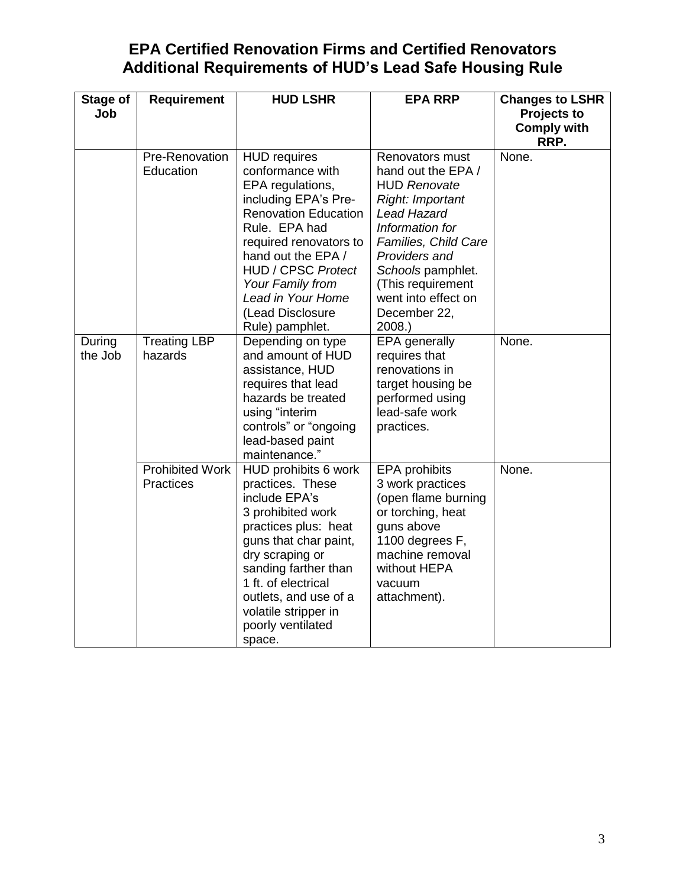| <b>Stage of</b> | <b>Requirement</b>     | <b>HUD LSHR</b>                                     | <b>EPA RRP</b>                  | <b>Changes to LSHR</b> |
|-----------------|------------------------|-----------------------------------------------------|---------------------------------|------------------------|
| Job             |                        |                                                     |                                 | <b>Projects to</b>     |
|                 |                        |                                                     |                                 | <b>Comply with</b>     |
|                 |                        |                                                     |                                 | RRP.                   |
|                 | Pre-Renovation         | <b>HUD</b> requires                                 | Renovators must                 | None.                  |
|                 | Education              | conformance with                                    | hand out the EPA /              |                        |
|                 |                        | EPA regulations,                                    | <b>HUD Renovate</b>             |                        |
|                 |                        | including EPA's Pre-<br><b>Renovation Education</b> | Right: Important<br>Lead Hazard |                        |
|                 |                        | Rule. EPA had                                       | Information for                 |                        |
|                 |                        | required renovators to                              | Families, Child Care            |                        |
|                 |                        | hand out the EPA /                                  | Providers and                   |                        |
|                 |                        | <b>HUD / CPSC Protect</b>                           | Schools pamphlet.               |                        |
|                 |                        | Your Family from                                    | (This requirement               |                        |
|                 |                        | Lead in Your Home                                   | went into effect on             |                        |
|                 |                        | (Lead Disclosure                                    | December 22,                    |                        |
|                 |                        | Rule) pamphlet.                                     | 2008.                           |                        |
| During          | <b>Treating LBP</b>    | Depending on type                                   | <b>EPA</b> generally            | None.                  |
| the Job         | hazards                | and amount of HUD                                   | requires that                   |                        |
|                 |                        | assistance, HUD                                     | renovations in                  |                        |
|                 |                        | requires that lead                                  | target housing be               |                        |
|                 |                        | hazards be treated                                  | performed using                 |                        |
|                 |                        | using "interim                                      | lead-safe work                  |                        |
|                 |                        | controls" or "ongoing                               | practices.                      |                        |
|                 |                        | lead-based paint                                    |                                 |                        |
|                 |                        | maintenance."                                       |                                 |                        |
|                 | <b>Prohibited Work</b> | HUD prohibits 6 work                                | EPA prohibits                   | None.                  |
|                 | <b>Practices</b>       | practices. These                                    | 3 work practices                |                        |
|                 |                        | include EPA's                                       | (open flame burning             |                        |
|                 |                        | 3 prohibited work<br>practices plus: heat           | or torching, heat<br>guns above |                        |
|                 |                        | guns that char paint,                               | 1100 degrees F,                 |                        |
|                 |                        | dry scraping or                                     | machine removal                 |                        |
|                 |                        | sanding farther than                                | without HEPA                    |                        |
|                 |                        | 1 ft. of electrical                                 | vacuum                          |                        |
|                 |                        | outlets, and use of a                               | attachment).                    |                        |
|                 |                        | volatile stripper in                                |                                 |                        |
|                 |                        | poorly ventilated                                   |                                 |                        |
|                 |                        | space.                                              |                                 |                        |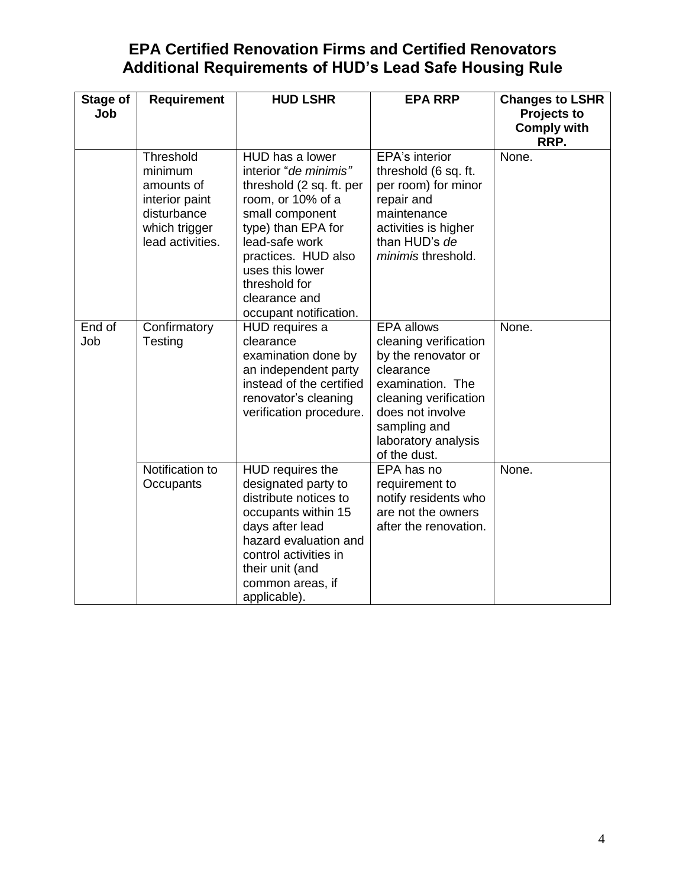| <b>Stage of</b><br>Job | Requirement                                                                                              | <b>HUD LSHR</b>                                                                                                                                                                                                                                            | <b>EPA RRP</b>                                                                                                                                                                                         | <b>Changes to LSHR</b><br><b>Projects to</b><br><b>Comply with</b><br>RRP. |
|------------------------|----------------------------------------------------------------------------------------------------------|------------------------------------------------------------------------------------------------------------------------------------------------------------------------------------------------------------------------------------------------------------|--------------------------------------------------------------------------------------------------------------------------------------------------------------------------------------------------------|----------------------------------------------------------------------------|
|                        | Threshold<br>minimum<br>amounts of<br>interior paint<br>disturbance<br>which trigger<br>lead activities. | HUD has a lower<br>interior "de minimis"<br>threshold (2 sq. ft. per<br>room, or 10% of a<br>small component<br>type) than EPA for<br>lead-safe work<br>practices. HUD also<br>uses this lower<br>threshold for<br>clearance and<br>occupant notification. | EPA's interior<br>threshold (6 sq. ft.<br>per room) for minor<br>repair and<br>maintenance<br>activities is higher<br>than HUD's de<br><i>minimis</i> threshold.                                       | None.                                                                      |
| End of<br>Job          | Confirmatory<br>Testing                                                                                  | HUD requires a<br>clearance<br>examination done by<br>an independent party<br>instead of the certified<br>renovator's cleaning<br>verification procedure.                                                                                                  | <b>EPA allows</b><br>cleaning verification<br>by the renovator or<br>clearance<br>examination. The<br>cleaning verification<br>does not involve<br>sampling and<br>laboratory analysis<br>of the dust. | None.                                                                      |
|                        | Notification to<br>Occupants                                                                             | HUD requires the<br>designated party to<br>distribute notices to<br>occupants within 15<br>days after lead<br>hazard evaluation and<br>control activities in<br>their unit (and<br>common areas, if<br>applicable).                                        | EPA has no<br>requirement to<br>notify residents who<br>are not the owners<br>after the renovation.                                                                                                    | None.                                                                      |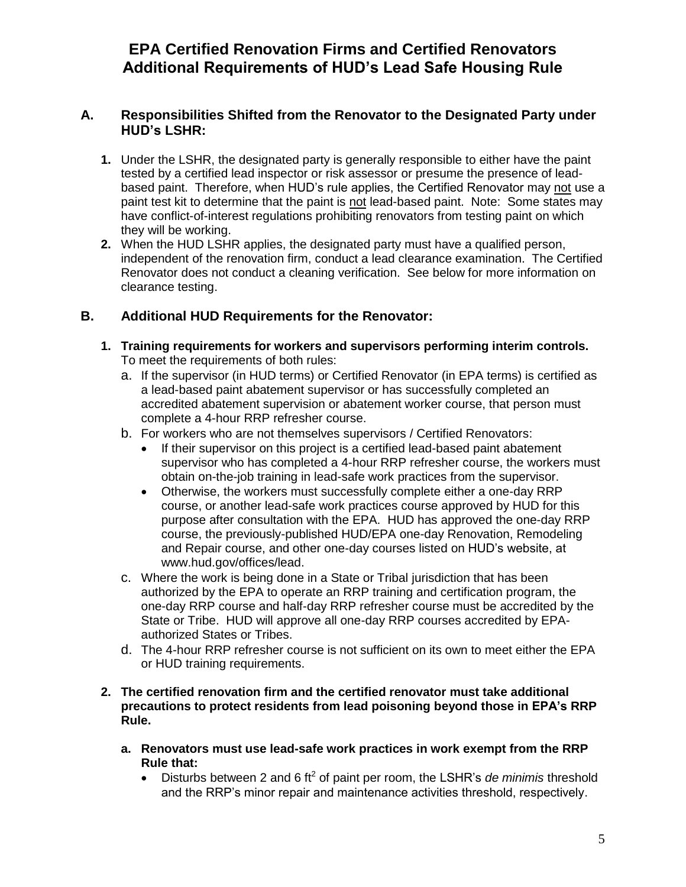#### **A. Responsibilities Shifted from the Renovator to the Designated Party under HUD's LSHR:**

- **1.** Under the LSHR, the designated party is generally responsible to either have the paint tested by a certified lead inspector or risk assessor or presume the presence of leadbased paint. Therefore, when HUD's rule applies, the Certified Renovator may not use a paint test kit to determine that the paint is not lead-based paint. Note: Some states may have conflict-of-interest regulations prohibiting renovators from testing paint on which they will be working.
- **2.** When the HUD LSHR applies, the designated party must have a qualified person, independent of the renovation firm, conduct a lead clearance examination. The Certified Renovator does not conduct a cleaning verification. See below for more information on clearance testing.

#### **B. Additional HUD Requirements for the Renovator:**

- **1. Training requirements for workers and supervisors performing interim controls.** To meet the requirements of both rules:
	- a. If the supervisor (in HUD terms) or Certified Renovator (in EPA terms) is certified as a lead-based paint abatement supervisor or has successfully completed an accredited abatement supervision or abatement worker course, that person must complete a 4-hour RRP refresher course.
	- b. For workers who are not themselves supervisors / Certified Renovators:
		- If their supervisor on this project is a certified lead-based paint abatement supervisor who has completed a 4-hour RRP refresher course, the workers must obtain on-the-job training in lead-safe work practices from the supervisor.
		- Otherwise, the workers must successfully complete either a one-day RRP course, or another lead-safe work practices course approved by HUD for this purpose after consultation with the EPA. HUD has approved the one-day RRP course, the previously-published HUD/EPA one-day Renovation, Remodeling and Repair course, and other one-day courses listed on HUD's website, at www.hud.gov/offices/lead.
	- c. Where the work is being done in a State or Tribal jurisdiction that has been authorized by the EPA to operate an RRP training and certification program, the one-day RRP course and half-day RRP refresher course must be accredited by the State or Tribe. HUD will approve all one-day RRP courses accredited by EPAauthorized States or Tribes.
	- d. The 4-hour RRP refresher course is not sufficient on its own to meet either the EPA or HUD training requirements.
- **2. The certified renovation firm and the certified renovator must take additional precautions to protect residents from lead poisoning beyond those in EPA's RRP Rule.**
	- **a. Renovators must use lead-safe work practices in work exempt from the RRP Rule that:**
		- $\bullet$  Disturbs between 2 and 6 ft<sup>2</sup> of paint per room, the LSHR's *de minimis* threshold and the RRP's minor repair and maintenance activities threshold, respectively.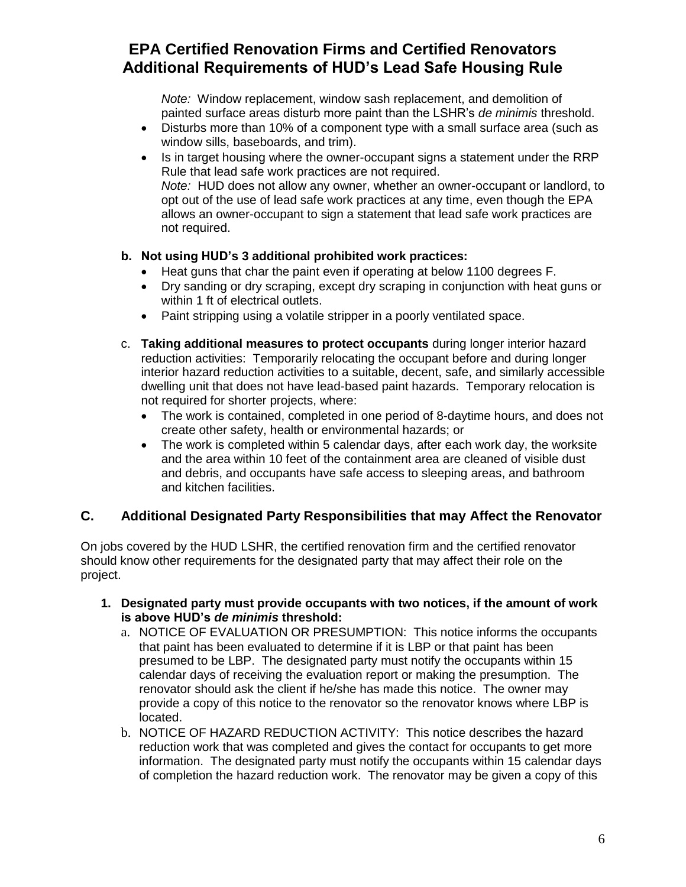*Note:* Window replacement, window sash replacement, and demolition of painted surface areas disturb more paint than the LSHR's *de minimis* threshold.

- Disturbs more than 10% of a component type with a small surface area (such as window sills, baseboards, and trim).
- Is in target housing where the owner-occupant signs a statement under the RRP Rule that lead safe work practices are not required. *Note:* HUD does not allow any owner, whether an owner-occupant or landlord, to opt out of the use of lead safe work practices at any time, even though the EPA allows an owner-occupant to sign a statement that lead safe work practices are not required.

#### **b. Not using HUD's 3 additional prohibited work practices:**

- Heat guns that char the paint even if operating at below 1100 degrees F.
- Dry sanding or dry scraping, except dry scraping in conjunction with heat guns or within 1 ft of electrical outlets.
- Paint stripping using a volatile stripper in a poorly ventilated space.
- c. **Taking additional measures to protect occupants** during longer interior hazard reduction activities: Temporarily relocating the occupant before and during longer interior hazard reduction activities to a suitable, decent, safe, and similarly accessible dwelling unit that does not have lead-based paint hazards. Temporary relocation is not required for shorter projects, where:
	- The work is contained, completed in one period of 8-daytime hours, and does not create other safety, health or environmental hazards; or
	- The work is completed within 5 calendar days, after each work day, the worksite and the area within 10 feet of the containment area are cleaned of visible dust and debris, and occupants have safe access to sleeping areas, and bathroom and kitchen facilities.

#### **C. Additional Designated Party Responsibilities that may Affect the Renovator**

On jobs covered by the HUD LSHR, the certified renovation firm and the certified renovator should know other requirements for the designated party that may affect their role on the project.

- **1. Designated party must provide occupants with two notices, if the amount of work is above HUD's** *de minimis* **threshold:**
	- a. NOTICE OF EVALUATION OR PRESUMPTION: This notice informs the occupants that paint has been evaluated to determine if it is LBP or that paint has been presumed to be LBP. The designated party must notify the occupants within 15 calendar days of receiving the evaluation report or making the presumption. The renovator should ask the client if he/she has made this notice. The owner may provide a copy of this notice to the renovator so the renovator knows where LBP is located.
	- b. NOTICE OF HAZARD REDUCTION ACTIVITY: This notice describes the hazard reduction work that was completed and gives the contact for occupants to get more information. The designated party must notify the occupants within 15 calendar days of completion the hazard reduction work. The renovator may be given a copy of this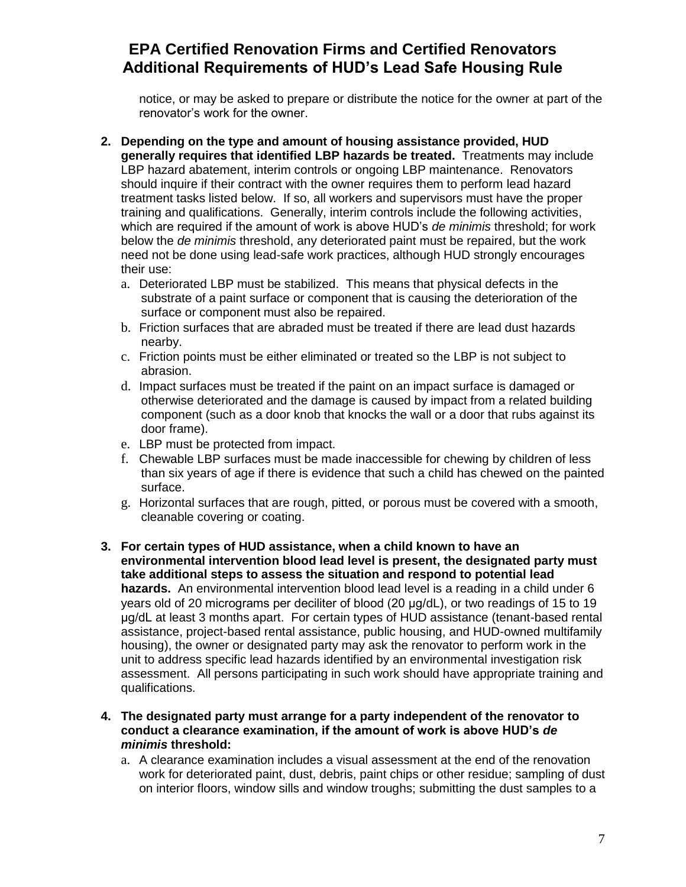notice, or may be asked to prepare or distribute the notice for the owner at part of the renovator's work for the owner.

- **2. Depending on the type and amount of housing assistance provided, HUD generally requires that identified LBP hazards be treated.** Treatments may include LBP hazard abatement, interim controls or ongoing LBP maintenance. Renovators should inquire if their contract with the owner requires them to perform lead hazard treatment tasks listed below. If so, all workers and supervisors must have the proper training and qualifications. Generally, interim controls include the following activities, which are required if the amount of work is above HUD's *de minimis* threshold; for work below the *de minimis* threshold, any deteriorated paint must be repaired, but the work need not be done using lead-safe work practices, although HUD strongly encourages their use:
	- a. Deteriorated LBP must be stabilized. This means that physical defects in the substrate of a paint surface or component that is causing the deterioration of the surface or component must also be repaired.
	- b. Friction surfaces that are abraded must be treated if there are lead dust hazards nearby.
	- c. Friction points must be either eliminated or treated so the LBP is not subject to abrasion.
	- d. Impact surfaces must be treated if the paint on an impact surface is damaged or otherwise deteriorated and the damage is caused by impact from a related building component (such as a door knob that knocks the wall or a door that rubs against its door frame).
	- e. LBP must be protected from impact.
	- f. Chewable LBP surfaces must be made inaccessible for chewing by children of less than six years of age if there is evidence that such a child has chewed on the painted surface.
	- g. Horizontal surfaces that are rough, pitted, or porous must be covered with a smooth, cleanable covering or coating.
- **3. For certain types of HUD assistance, when a child known to have an environmental intervention blood lead level is present, the designated party must take additional steps to assess the situation and respond to potential lead hazards.** An environmental intervention blood lead level is a reading in a child under 6 years old of 20 micrograms per deciliter of blood (20 μg/dL), or two readings of 15 to 19 μg/dL at least 3 months apart. For certain types of HUD assistance (tenant-based rental assistance, project-based rental assistance, public housing, and HUD-owned multifamily housing), the owner or designated party may ask the renovator to perform work in the unit to address specific lead hazards identified by an environmental investigation risk assessment. All persons participating in such work should have appropriate training and qualifications.

#### **4. The designated party must arrange for a party independent of the renovator to conduct a clearance examination, if the amount of work is above HUD's** *de minimis* **threshold:**

a. A clearance examination includes a visual assessment at the end of the renovation work for deteriorated paint, dust, debris, paint chips or other residue; sampling of dust on interior floors, window sills and window troughs; submitting the dust samples to a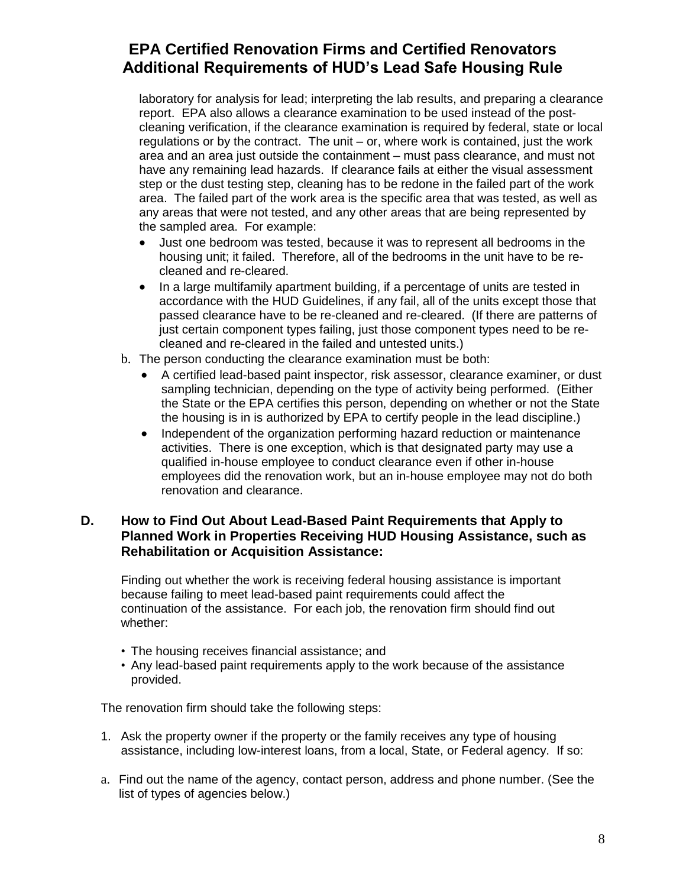laboratory for analysis for lead; interpreting the lab results, and preparing a clearance report. EPA also allows a clearance examination to be used instead of the postcleaning verification, if the clearance examination is required by federal, state or local regulations or by the contract. The unit – or, where work is contained, just the work area and an area just outside the containment – must pass clearance, and must not have any remaining lead hazards. If clearance fails at either the visual assessment step or the dust testing step, cleaning has to be redone in the failed part of the work area. The failed part of the work area is the specific area that was tested, as well as any areas that were not tested, and any other areas that are being represented by the sampled area. For example:

- Just one bedroom was tested, because it was to represent all bedrooms in the housing unit; it failed. Therefore, all of the bedrooms in the unit have to be recleaned and re-cleared.
- In a large multifamily apartment building, if a percentage of units are tested in accordance with the HUD Guidelines, if any fail, all of the units except those that passed clearance have to be re-cleaned and re-cleared. (If there are patterns of just certain component types failing, just those component types need to be recleaned and re-cleared in the failed and untested units.)
- b. The person conducting the clearance examination must be both:
	- A certified lead-based paint inspector, risk assessor, clearance examiner, or dust sampling technician, depending on the type of activity being performed. (Either the State or the EPA certifies this person, depending on whether or not the State the housing is in is authorized by EPA to certify people in the lead discipline.)
	- Independent of the organization performing hazard reduction or maintenance activities. There is one exception, which is that designated party may use a qualified in-house employee to conduct clearance even if other in-house employees did the renovation work, but an in-house employee may not do both renovation and clearance.

#### **D. How to Find Out About Lead-Based Paint Requirements that Apply to Planned Work in Properties Receiving HUD Housing Assistance, such as Rehabilitation or Acquisition Assistance:**

Finding out whether the work is receiving federal housing assistance is important because failing to meet lead-based paint requirements could affect the continuation of the assistance. For each job, the renovation firm should find out whether:

- The housing receives financial assistance; and
- Any lead-based paint requirements apply to the work because of the assistance provided.

The renovation firm should take the following steps:

- 1. Ask the property owner if the property or the family receives any type of housing assistance, including low-interest loans, from a local, State, or Federal agency. If so:
- a. Find out the name of the agency, contact person, address and phone number. (See the list of types of agencies below.)